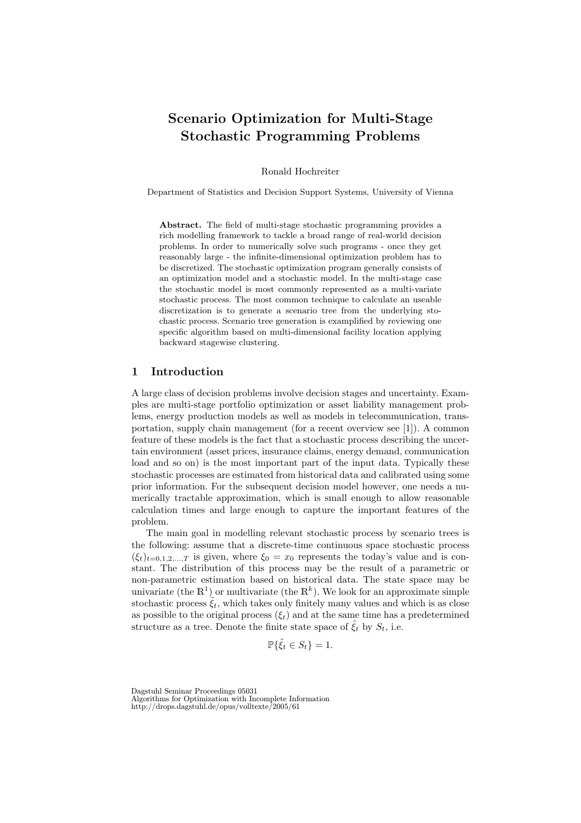## Scenario Optimization for Multi-Stage Stochastic Programming Problems

Ronald Hochreiter

Department of Statistics and Decision Support Systems, University of Vienna

Abstract. The field of multi-stage stochastic programming provides a rich modelling framework to tackle a broad range of real-world decision problems. In order to numerically solve such programs - once they get reasonably large - the infinite-dimensional optimization problem has to be discretized. The stochastic optimization program generally consists of an optimization model and a stochastic model. In the multi-stage case the stochastic model is most commonly represented as a multi-variate stochastic process. The most common technique to calculate an useable discretization is to generate a scenario tree from the underlying stochastic process. Scenario tree generation is examplified by reviewing one specific algorithm based on multi-dimensional facility location applying backward stagewise clustering.

## 1 Introduction

A large class of decision problems involve decision stages and uncertainty. Examples are multi-stage portfolio optimization or asset liability management problems, energy production models as well as models in telecommunication, transportation, supply chain management (for a recent overview see [1]). A common feature of these models is the fact that a stochastic process describing the uncertain environment (asset prices, insurance claims, energy demand, communication load and so on) is the most important part of the input data. Typically these stochastic processes are estimated from historical data and calibrated using some prior information. For the subsequent decision model however, one needs a numerically tractable approximation, which is small enough to allow reasonable calculation times and large enough to capture the important features of the problem.

The main goal in modelling relevant stochastic process by scenario trees is the following: assume that a discrete-time continuous space stochastic process  $(\xi_t)_{t=0,1,2,...,T}$  is given, where  $\xi_0 = x_0$  represents the today's value and is constant. The distribution of this process may be the result of a parametric or non-parametric estimation based on historical data. The state space may be univariate (the  $\mathbb{R}^1$ ) or multivariate (the  $\mathbb{R}^k$ ). We look for an approximate simple stochastic process  $\tilde{\xi}_t$ , which takes only finitely many values and which is as close as possible to the original process  $(\xi_t)$  and at the same time has a predetermined structure as a tree. Denote the finite state space of  $\xi_t$  by  $S_t$ , i.e.

$$
\mathbb{P}\{\tilde{\xi}_t \in S_t\} = 1.
$$

Dagstuhl Seminar Proceedings 05031 Algorithms for Optimization with Incomplete Information

http://drops.dagstuhl.de/opus/volltexte/2005/61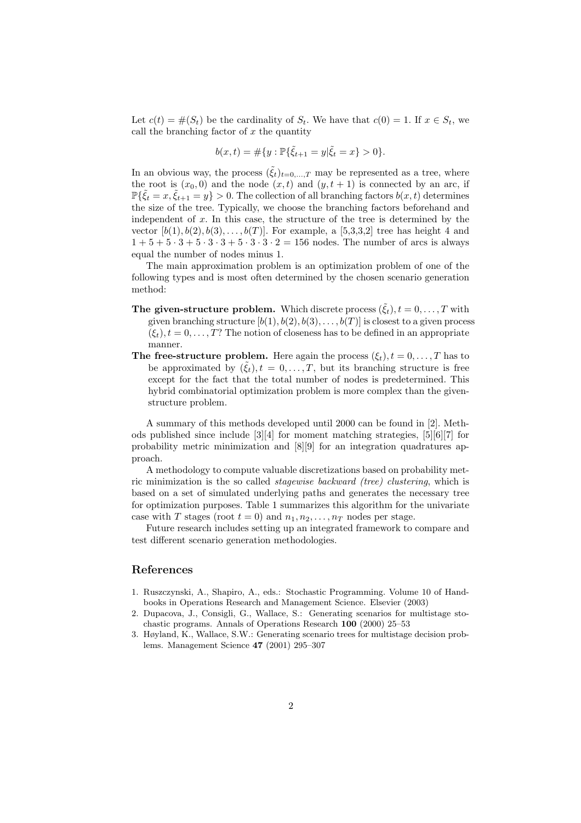Let  $c(t) = \#(S_t)$  be the cardinality of  $S_t$ . We have that  $c(0) = 1$ . If  $x \in S_t$ , we call the branching factor of  $x$  the quantity

$$
b(x,t) = \#\{y : \mathbb{P}\{\tilde{\xi}_{t+1} = y | \tilde{\xi}_t = x\} > 0\}.
$$

In an obvious way, the process  $(\tilde{\xi}_t)_{t=0,\dots,T}$  may be represented as a tree, where the root is  $(x_0, 0)$  and the node  $(x, t)$  and  $(y, t + 1)$  is connected by an arc, if  $\mathbb{P}\{\tilde{\xi}_t = x, \tilde{\xi}_{t+1} = y\} > 0.$  The collection of all branching factors  $b(x, t)$  determines the size of the tree. Typically, we choose the branching factors beforehand and independent of  $x$ . In this case, the structure of the tree is determined by the vector  $[b(1), b(2), b(3), \ldots, b(T)]$ . For example, a [5,3,3,2] tree has height 4 and  $1 + 5 + 5 \cdot 3 + 5 \cdot 3 \cdot 3 + 5 \cdot 3 \cdot 3 \cdot 2 = 156$  nodes. The number of arcs is always equal the number of nodes minus 1.

The main approximation problem is an optimization problem of one of the following types and is most often determined by the chosen scenario generation method:

- The given-structure problem. Which discrete process  $(\xi_t)$ ,  $t = 0, \ldots, T$  with given branching structure  $[b(1), b(2), b(3), \ldots, b(T)]$  is closest to a given process  $(\xi_t)$ ,  $t = 0, \ldots, T$ ? The notion of closeness has to be defined in an appropriate manner.
- **The free-structure problem.** Here again the process  $(\xi_t), t = 0, \ldots, T$  has to be approximated by  $(\tilde{\xi}_t), t = 0, \ldots, T$ , but its branching structure is free except for the fact that the total number of nodes is predetermined. This hybrid combinatorial optimization problem is more complex than the givenstructure problem.

A summary of this methods developed until 2000 can be found in [2]. Methods published since include [3][4] for moment matching strategies, [5][6][7] for probability metric minimization and [8][9] for an integration quadratures approach.

A methodology to compute valuable discretizations based on probability metric minimization is the so called stagewise backward (tree) clustering, which is based on a set of simulated underlying paths and generates the necessary tree for optimization purposes. Table 1 summarizes this algorithm for the univariate case with T stages (root  $t = 0$ ) and  $n_1, n_2, \ldots, n_T$  nodes per stage.

Future research includes setting up an integrated framework to compare and test different scenario generation methodologies.

## References

- 1. Ruszczynski, A., Shapiro, A., eds.: Stochastic Programming. Volume 10 of Handbooks in Operations Research and Management Science. Elsevier (2003)
- 2. Dupacova, J., Consigli, G., Wallace, S.: Generating scenarios for multistage stochastic programs. Annals of Operations Research 100 (2000) 25–53
- 3. Høyland, K., Wallace, S.W.: Generating scenario trees for multistage decision problems. Management Science 47 (2001) 295–307